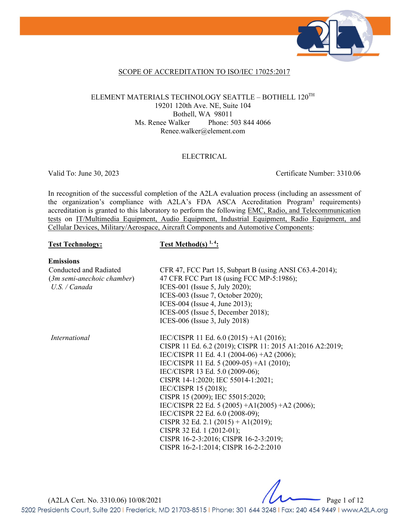

#### SCOPE OF ACCREDITATION TO ISO/IEC 17025:2017

#### ELEMENT MATERIALS TECHNOLOGY SEATTLE – BOTHELL 120TH 19201 120th Ave. NE, Suite 104 Bothell, WA 98011 Ms. Renee Walker Phone: 503 844 4066 Renee.walker@element.com

#### ELECTRICAL

Valid To: June 30, 2023 Certificate Number: 3310.06

In recognition of the successful completion of the A2LA evaluation process (including an assessment of the organization's compliance with A2LA's FDA ASCA Accreditation Program<sup>3</sup> requirements) accreditation is granted to this laboratory to perform the following EMC, Radio, and Telecommunication tests on IT/Multimedia Equipment, Audio Equipment, Industrial Equipment, Radio Equipment, and Cellular Devices, Military/Aerospace, Aircraft Components and Automotive Components:

#### Test Technology: Test Method(s)<sup>1,4</sup>:

#### **Emissions**

Conducted and Radiated (*3m semi-anechoic chamber*) *U.S. / Canada*  CFR 47, FCC Part 15, Subpart B (using ANSI C63.4-2014); 47 CFR FCC Part 18 (using FCC MP-5:1986); ICES-001 (Issue 5, July 2020); ICES-003 (Issue 7, October 2020); ICES-004 (Issue 4, June 2013); ICES-005 (Issue 5, December 2018); ICES-006 (Issue 3, July 2018) *International* IEC/CISPR 11 Ed. 6.0 (2015) +A1 (2016); CISPR 11 Ed. 6.2 (2019); CISPR 11: 2015 A1:2016 A2:2019; IEC/CISPR 11 Ed. 4.1 (2004-06) +A2 (2006); IEC/CISPR 11 Ed. 5 (2009-05) +A1 (2010); IEC/CISPR 13 Ed. 5.0 (2009-06); CISPR 14-1:2020; IEC 55014-1:2021; IEC/CISPR 15 (2018); CISPR 15 (2009); IEC 55015:2020; IEC/CISPR 22 Ed. 5 (2005) +A1(2005) +A2 (2006); IEC/CISPR 22 Ed. 6.0 (2008-09); CISPR 32 Ed. 2.1 (2015) + A1(2019); CISPR 32 Ed. 1 (2012-01); CISPR 16-2-3:2016; CISPR 16-2-3:2019; CISPR 16-2-1:2014; CISPR 16-2-2:2010

(A2LA Cert. No. 3310.06) 10/08/2021 Page 1 of 12 5202 Presidents Court, Suite 220 | Frederick, MD 21703-8515 | Phone: 301 644 3248 | Fax: 240 454 9449 | www.A2LA.org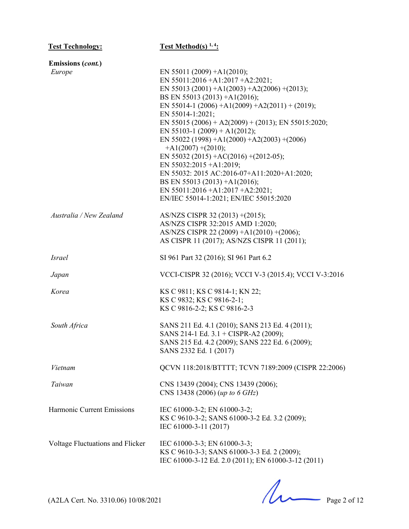| <b>Test Technology:</b>          | <b>Test Method(s)</b> $1, 4$ :                         |
|----------------------------------|--------------------------------------------------------|
| <b>Emissions (cont.)</b>         |                                                        |
| Europe                           | EN 55011 (2009) + A1(2010);                            |
|                                  | EN 55011:2016 +A1:2017 +A2:2021;                       |
|                                  | EN 55013 (2001) + A1(2003) + A2(2006) + (2013);        |
|                                  | BS EN 55013 (2013) +A1(2016);                          |
|                                  | EN 55014-1 (2006) +A1(2009) +A2(2011) + (2019);        |
|                                  | EN 55014-1:2021;                                       |
|                                  | EN 55015 (2006) + A2(2009) + (2013); EN 55015:2020;    |
|                                  | EN 55103-1 (2009) + A1(2012);                          |
|                                  | EN 55022 (1998) + A1(2000) + A2(2003) + (2006)         |
|                                  | $+A1(2007) + (2010);$                                  |
|                                  | EN 55032 (2015) + AC(2016) + (2012-05);                |
|                                  | EN 55032:2015 +A1:2019;                                |
|                                  | EN 55032: 2015 AC:2016-07+A11:2020+A1:2020;            |
|                                  | BS EN 55013 (2013) +A1(2016);                          |
|                                  | EN 55011:2016 + A1:2017 + A2:2021;                     |
|                                  | EN/IEC 55014-1:2021; EN/IEC 55015:2020                 |
| Australia / New Zealand          | AS/NZS CISPR 32 (2013) + (2015);                       |
|                                  | AS/NZS CISPR 32:2015 AMD 1:2020;                       |
|                                  | AS/NZS CISPR 22 (2009) +A1(2010) +(2006);              |
|                                  | AS CISPR 11 (2017); AS/NZS CISPR 11 (2011);            |
| <b>Israel</b>                    | SI 961 Part 32 (2016); SI 961 Part 6.2                 |
| Japan                            | VCCI-CISPR 32 (2016); VCCI V-3 (2015.4); VCCI V-3:2016 |
| Korea                            | KS C 9811; KS C 9814-1; KN 22;                         |
|                                  | KS C 9832; KS C 9816-2-1;                              |
|                                  | KS C 9816-2-2; KS C 9816-2-3                           |
| South Africa                     | SANS 211 Ed. 4.1 (2010); SANS 213 Ed. 4 (2011);        |
|                                  | SANS 214-1 Ed. 3.1 + CISPR-A2 (2009);                  |
|                                  | SANS 215 Ed. 4.2 (2009); SANS 222 Ed. 6 (2009);        |
|                                  | SANS 2332 Ed. 1 (2017)                                 |
| Vietnam                          | QCVN 118:2018/BTTTT; TCVN 7189:2009 (CISPR 22:2006)    |
| Taiwan                           | CNS 13439 (2004); CNS 13439 (2006);                    |
|                                  | CNS 13438 (2006) (up to 6 GHz)                         |
| Harmonic Current Emissions       | IEC 61000-3-2; EN 61000-3-2;                           |
|                                  | KS C 9610-3-2; SANS 61000-3-2 Ed. 3.2 (2009);          |
|                                  | IEC 61000-3-11 (2017)                                  |
| Voltage Fluctuations and Flicker | IEC 61000-3-3; EN 61000-3-3;                           |
|                                  | KS C 9610-3-3; SANS 61000-3-3 Ed. 2 (2009);            |
|                                  | IEC 61000-3-12 Ed. 2.0 (2011); EN 61000-3-12 (2011)    |

 $(A2LA$  Cert. No. 3310.06) 10/08/2021 Page 2 of 12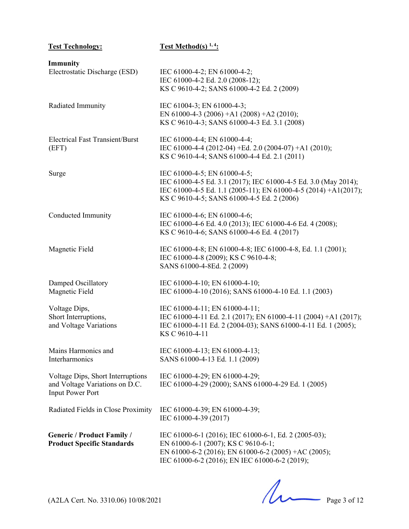| <b>Test Technology:</b>                                                                        | <b>Test Method(s)</b> $1, 4$ :                                                                                                                                                                                   |
|------------------------------------------------------------------------------------------------|------------------------------------------------------------------------------------------------------------------------------------------------------------------------------------------------------------------|
| Immunity<br>Electrostatic Discharge (ESD)                                                      | IEC 61000-4-2; EN 61000-4-2;<br>IEC 61000-4-2 Ed. 2.0 (2008-12);<br>KS C 9610-4-2; SANS 61000-4-2 Ed. 2 (2009)                                                                                                   |
| Radiated Immunity                                                                              | IEC 61004-3; EN 61000-4-3;<br>EN 61000-4-3 (2006) +A1 (2008) +A2 (2010);<br>KS C 9610-4-3; SANS 61000-4-3 Ed. 3.1 (2008)                                                                                         |
| <b>Electrical Fast Transient/Burst</b><br>(EFT)                                                | IEC 61000-4-4; EN 61000-4-4;<br>IEC 61000-4-4 (2012-04) +Ed. 2.0 (2004-07) +A1 (2010);<br>KS C 9610-4-4; SANS 61000-4-4 Ed. 2.1 (2011)                                                                           |
| Surge                                                                                          | IEC 61000-4-5; EN 61000-4-5;<br>IEC 61000-4-5 Ed. 3.1 (2017); IEC 61000-4-5 Ed. 3.0 (May 2014);<br>IEC 61000-4-5 Ed. 1.1 (2005-11); EN 61000-4-5 (2014) +A1(2017);<br>KS C 9610-4-5; SANS 61000-4-5 Ed. 2 (2006) |
| Conducted Immunity                                                                             | IEC 61000-4-6; EN 61000-4-6;<br>IEC 61000-4-6 Ed. 4.0 (2013); IEC 61000-4-6 Ed. 4 (2008);<br>KS C 9610-4-6; SANS 61000-4-6 Ed. 4 (2017)                                                                          |
| Magnetic Field                                                                                 | IEC 61000-4-8; EN 61000-4-8; IEC 61000-4-8, Ed. 1.1 (2001);<br>IEC 61000-4-8 (2009); KS C 9610-4-8;<br>SANS 61000-4-8Ed. 2 (2009)                                                                                |
| Damped Oscillatory<br>Magnetic Field                                                           | IEC 61000-4-10; EN 61000-4-10;<br>IEC 61000-4-10 (2016); SANS 61000-4-10 Ed. 1.1 (2003)                                                                                                                          |
| Voltage Dips,<br>Short Interruptions,<br>and Voltage Variations                                | IEC 61000-4-11; EN 61000-4-11;<br>IEC 61000-4-11 Ed. 2.1 (2017); EN 61000-4-11 (2004) +A1 (2017);<br>IEC 61000-4-11 Ed. 2 (2004-03); SANS 61000-4-11 Ed. 1 (2005);<br>KS C 9610-4-11                             |
| Mains Harmonics and<br>Interharmonics                                                          | IEC 61000-4-13; EN 61000-4-13;<br>SANS 61000-4-13 Ed. 1.1 (2009)                                                                                                                                                 |
| Voltage Dips, Short Interruptions<br>and Voltage Variations on D.C.<br><b>Input Power Port</b> | IEC 61000-4-29; EN 61000-4-29;<br>IEC 61000-4-29 (2000); SANS 61000-4-29 Ed. 1 (2005)                                                                                                                            |
| Radiated Fields in Close Proximity                                                             | IEC 61000-4-39; EN 61000-4-39;<br>IEC 61000-4-39 (2017)                                                                                                                                                          |
| <b>Generic / Product Family /</b><br><b>Product Specific Standards</b>                         | IEC 61000-6-1 (2016); IEC 61000-6-1, Ed. 2 (2005-03);<br>EN 61000-6-1 (2007); KS C 9610-6-1;<br>EN 61000-6-2 (2016); EN 61000-6-2 (2005) +AC (2005);<br>IEC 61000-6-2 (2016); EN IEC 61000-6-2 (2019);           |

 $(A2LA$  Cert. No. 3310.06) 10/08/2021 Page 3 of 12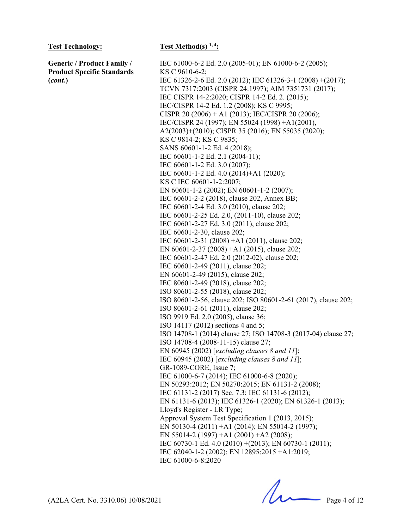**Generic / Product Family / Product Specific Standards (***cont.***)**

IEC 61000-6-2 Ed. 2.0 (2005-01); EN 61000-6-2 (2005); KS C 9610-6-2; IEC 61326-2-6 Ed. 2.0 (2012); IEC 61326-3-1 (2008) +(2017); TCVN 7317:2003 (CISPR 24:1997); AIM 7351731 (2017); IEC CISPR 14-2:2020; CISPR 14-2 Ed. 2. (2015); IEC/CISPR 14-2 Ed. 1.2 (2008); KS C 9995; CISPR 20 (2006) + A1 (2013); IEC/CISPR 20 (2006); IEC/CISPR 24 (1997); EN 55024 (1998) +A1(2001), A2(2003)+(2010); CISPR 35 (2016); EN 55035 (2020); KS C 9814-2; KS C 9835; SANS 60601-1-2 Ed. 4 (2018); IEC 60601-1-2 Ed. 2.1 (2004-11); IEC 60601-1-2 Ed. 3.0 (2007); IEC 60601-1-2 Ed. 4.0 (2014)+A1 (2020); KS C IEC 60601-1-2:2007; EN 60601-1-2 (2002); EN 60601-1-2 (2007); IEC 60601-2-2 (2018), clause 202, Annex BB; IEC 60601-2-4 Ed. 3.0 (2010), clause 202; IEC 60601-2-25 Ed. 2.0, (2011-10), clause 202; IEC 60601-2-27 Ed. 3.0 (2011), clause 202; IEC 60601-2-30, clause 202; IEC 60601-2-31 (2008) +A1 (2011), clause 202; EN 60601-2-37 (2008) +A1 (2015), clause 202; IEC 60601-2-47 Ed. 2.0 (2012-02), clause 202; IEC 60601-2-49 (2011), clause 202; EN 60601-2-49 (2015), clause 202; IEC 80601-2-49 (2018), clause 202; ISO 80601-2-55 (2018), clause 202; ISO 80601-2-56, clause 202; ISO 80601-2-61 (2017), clause 202; ISO 80601-2-61 (2011), clause 202; ISO 9919 Ed. 2.0 (2005), clause 36; ISO 14117 (2012) sections 4 and 5; ISO 14708-1 (2014) clause 27; ISO 14708-3 (2017-04) clause 27; ISO 14708-4 (2008-11-15) clause 27; EN 60945 (2002) [*excluding clauses 8 and 11*]; IEC 60945 (2002) [*excluding clauses 8 and 11*]; GR-1089-CORE, Issue 7; IEC 61000-6-7 (2014); IEC 61000-6-8 (2020); EN 50293:2012; EN 50270:2015; EN 61131-2 (2008); IEC 61131-2 (2017) Sec. 7.3; IEC 61131-6 (2012); EN 61131-6 (2013); IEC 61326-1 (2020); EN 61326-1 (2013); Lloyd's Register - LR Type; Approval System Test Specification 1 (2013, 2015); EN 50130-4 (2011) +A1 (2014); EN 55014-2 (1997); EN 55014-2 (1997) +A1 (2001) +A2 (2008); IEC 60730-1 Ed. 4.0 (2010) +(2013); EN 60730-1 (2011); IEC 62040-1-2 (2002); EN 12895:2015 +A1:2019; IEC 61000-6-8:2020

 $(A2LA$  Cert. No. 3310.06) 10/08/2021 Page 4 of 12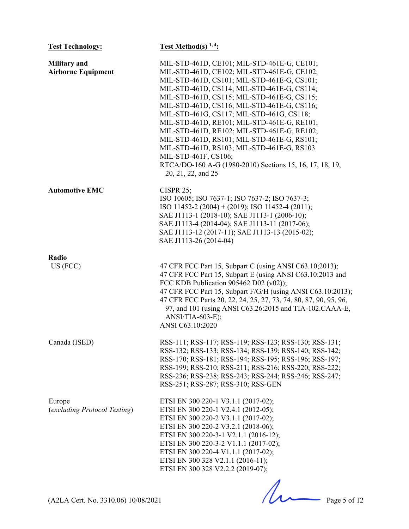| <b>Test Technology:</b>                          | <b>Test Method(s)</b> $1, 4$ :                                                                                                                                                                                                                                                                                                                                                                                                                                                                                                                                                                                                           |
|--------------------------------------------------|------------------------------------------------------------------------------------------------------------------------------------------------------------------------------------------------------------------------------------------------------------------------------------------------------------------------------------------------------------------------------------------------------------------------------------------------------------------------------------------------------------------------------------------------------------------------------------------------------------------------------------------|
| <b>Military</b> and<br><b>Airborne Equipment</b> | MIL-STD-461D, CE101; MIL-STD-461E-G, CE101;<br>MIL-STD-461D, CE102; MIL-STD-461E-G, CE102;<br>MIL-STD-461D, CS101; MIL-STD-461E-G, CS101;<br>MIL-STD-461D, CS114; MIL-STD-461E-G, CS114;<br>MIL-STD-461D, CS115; MIL-STD-461E-G, CS115;<br>MIL-STD-461D, CS116; MIL-STD-461E-G, CS116;<br>MIL-STD-461G, CS117; MIL-STD-461G, CS118;<br>MIL-STD-461D, RE101; MIL-STD-461E-G, RE101;<br>MIL-STD-461D, RE102; MIL-STD-461E-G, RE102;<br>MIL-STD-461D, RS101; MIL-STD-461E-G, RS101;<br>MIL-STD-461D, RS103; MIL-STD-461E-G, RS103<br>MIL-STD-461F, CS106;<br>RTCA/DO-160 A-G (1980-2010) Sections 15, 16, 17, 18, 19,<br>20, 21, 22, and 25 |
| <b>Automotive EMC</b>                            | CISPR $25$ ;<br>ISO 10605; ISO 7637-1; ISO 7637-2; ISO 7637-3;<br>ISO 11452-2 (2004) + (2019); ISO 11452-4 (2011);<br>SAE J1113-1 (2018-10); SAE J1113-1 (2006-10);<br>SAE J1113-4 (2014-04); SAE J1113-11 (2017-06);<br>SAE J1113-12 (2017-11); SAE J1113-13 (2015-02);<br>SAE J1113-26 (2014-04)                                                                                                                                                                                                                                                                                                                                       |
| Radio<br>US (FCC)                                | 47 CFR FCC Part 15, Subpart C (using ANSI C63.10;2013);<br>47 CFR FCC Part 15, Subpart E (using ANSI C63.10:2013 and<br>FCC KDB Publication 905462 D02 (v02));<br>47 CFR FCC Part 15, Subpart F/G/H (using ANSI C63.10:2013);<br>47 CFR FCC Parts 20, 22, 24, 25, 27, 73, 74, 80, 87, 90, 95, 96,<br>97, and 101 (using ANSI C63.26:2015 and TIA-102.CAAA-E,<br>ANSI/TIA-603-E);<br>ANSI C63.10:2020                                                                                                                                                                                                                                     |
| Canada (ISED)                                    | RSS-111; RSS-117; RSS-119; RSS-123; RSS-130; RSS-131;<br>RSS-132; RSS-133; RSS-134; RSS-139; RSS-140; RSS-142;<br>RSS-170; RSS-181; RSS-194; RSS-195; RSS-196; RSS-197;<br>RSS-199; RSS-210; RSS-211; RSS-216; RSS-220; RSS-222;<br>RSS-236; RSS-238; RSS-243; RSS-244; RSS-246; RSS-247;<br>RSS-251; RSS-287; RSS-310; RSS-GEN                                                                                                                                                                                                                                                                                                          |
| Europe<br>(excluding Protocol Testing)           | ETSI EN 300 220-1 V3.1.1 (2017-02);<br>ETSI EN 300 220-1 V2.4.1 (2012-05);<br>ETSI EN 300 220-2 V3.1.1 (2017-02);<br>ETSI EN 300 220-2 V3.2.1 (2018-06);<br>ETSI EN 300 220-3-1 V2.1.1 (2016-12);<br>ETSI EN 300 220-3-2 V1.1.1 (2017-02);<br>ETSI EN 300 220-4 V1.1.1 (2017-02);<br>ETSI EN 300 328 V2.1.1 (2016-11);<br>ETSI EN 300 328 V2.2.2 (2019-07);                                                                                                                                                                                                                                                                              |
| (A2LA Cert. No. 3310.06) 10/08/2021              | Page 5 of 12                                                                                                                                                                                                                                                                                                                                                                                                                                                                                                                                                                                                                             |
|                                                  |                                                                                                                                                                                                                                                                                                                                                                                                                                                                                                                                                                                                                                          |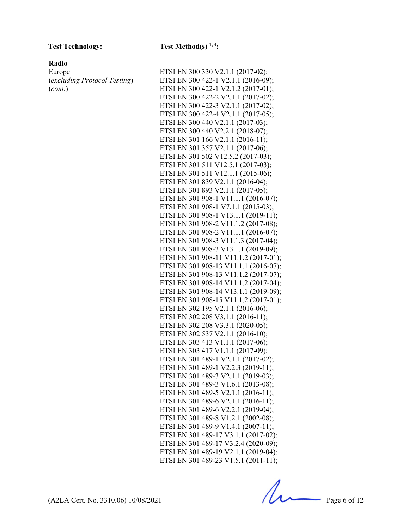### **Radio**

Europe (*excluding Protocol Testing*) (*cont.*)

### Test Technology: Test Method(s) <sup>1, 4</sup>:

| ETSI EN 300 330 V2.1.1 (2017-02);                                        |
|--------------------------------------------------------------------------|
| ETSI EN 300 422-1 V2.1.1 (2016-09);                                      |
| ETSI EN 300 422-1 V2.1.2 (2017-01);                                      |
| ETSI EN 300 422-2 V2.1.1 (2017-02);                                      |
| ETSI EN 300 422-3 V2.1.1 (2017-02);                                      |
| ETSI EN 300 422-4 V2.1.1 (2017-05);                                      |
| ETSI EN 300 440 V2.1.1 (2017-03);                                        |
| ETSI EN 300 440 V2.2.1 (2018-07);                                        |
| ETSI EN 301 166 V2.1.1 (2016-11);                                        |
| ETSI EN 301 357 V2.1.1 (2017-06);                                        |
| ETSI EN 301 502 V12.5.2 (2017-03);                                       |
| ETSI EN 301 511 V12.5.1 (2017-03);                                       |
| ETSI EN 301 511 V12.1.1 (2015-06);                                       |
| ETSI EN 301 839 V2.1.1 (2016-04);                                        |
| ETSI EN 301 893 V2.1.1 (2017-05);                                        |
| ETSI EN 301 908-1 V11.1.1 (2016-07);                                     |
| ETSI EN 301 908-1 V7.1.1 (2015-03);                                      |
| ETSI EN 301 908-1 V13.1.1 (2019-11);                                     |
| ETSI EN 301 908-2 V11.1.2 (2017-08);                                     |
| ETSI EN 301 908-2 V11.1.1 (2016-07);                                     |
| ETSI EN 301 908-3 V11.1.3 (2017-04);                                     |
| ETSI EN 301 908-3 V13.1.1 (2019-09);                                     |
| ETSI EN 301 908-11 V11.1.2 (2017-01);                                    |
| ETSI EN 301 908-13 V11.1.1 (2016-07);                                    |
| ETSI EN 301 908-13 V11.1.2 (2017-07);                                    |
| ETSI EN 301 908-14 V11.1.2 (2017-04);                                    |
| ETSI EN 301 908-14 V13.1.1 (2019-09);                                    |
| ETSI EN 301 908-15 V11.1.2 (2017-01);                                    |
| ETSI EN 302 195 V2.1.1 (2016-06);                                        |
| ETSI EN 302 208 V3.1.1 (2016-11);                                        |
| ETSI EN 302 208 V3.3.1 (2020-05);                                        |
| ETSI EN 302 537 V2.1.1 (2016-10);                                        |
| ETSI EN 303 413 V1.1.1 (2017-06);                                        |
| ETSI EN 303 417 V1.1.1 (2017-09);<br>ETSI EN 301 489-1 V2.1.1 (2017-02); |
| ETSI EN 301 489-1 V2.2.3 (2019-11);                                      |
| ETSI EN 301 489-3 V2.1.1 (2019-03);                                      |
| ETSI EN 301 489-3 V1.6.1 (2013-08);                                      |
| ETSI EN 301 489-5 V2.1.1 (2016-11);                                      |
| ETSI EN 301 489-6 V2.1.1 (2016-11);                                      |
| ETSI EN 301 489-6 V2.2.1 (2019-04);                                      |
| ETSI EN 301 489-8 V1.2.1 (2002-08);                                      |
| ETSI EN 301 489-9 V1.4.1 (2007-11);                                      |
| ETSI EN 301 489-17 V3.1.1 (2017-02);                                     |
| ETSI EN 301 489-17 V3.2.4 (2020-09);                                     |
| ETSI EN 301 489-19 V2.1.1 (2019-04);                                     |
| ETSI EN 301 489-23 V1.5.1 (2011-11);                                     |
|                                                                          |

 $(A2LA$  Cert. No. 3310.06) 10/08/2021 Page 6 of 12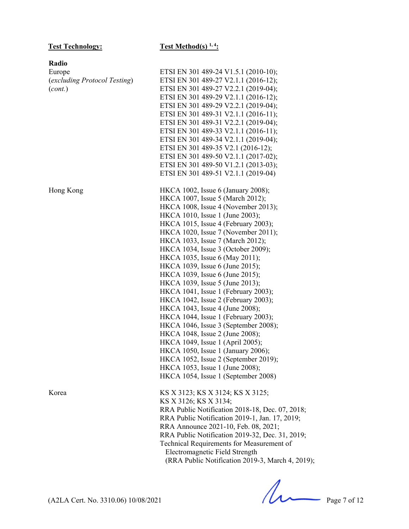## Test Technology: Test Method(s) <sup>1, 4</sup>:

| Radio                        |                                                  |
|------------------------------|--------------------------------------------------|
| Europe                       | ETSI EN 301 489-24 V1.5.1 (2010-10);             |
| (excluding Protocol Testing) | ETSI EN 301 489-27 V2.1.1 (2016-12);             |
| (cont.)                      | ETSI EN 301 489-27 V2.2.1 (2019-04);             |
|                              | ETSI EN 301 489-29 V2.1.1 (2016-12);             |
|                              | ETSI EN 301 489-29 V2.2.1 (2019-04);             |
|                              | ETSI EN 301 489-31 V2.1.1 (2016-11);             |
|                              | ETSI EN 301 489-31 V2.2.1 (2019-04);             |
|                              | ETSI EN 301 489-33 V2.1.1 (2016-11);             |
|                              | ETSI EN 301 489-34 V2.1.1 (2019-04);             |
|                              | ETSI EN 301 489-35 V2.1 (2016-12);               |
|                              | ETSI EN 301 489-50 V2.1.1 (2017-02);             |
|                              | ETSI EN 301 489-50 V1.2.1 (2013-03);             |
|                              | ETSI EN 301 489-51 V2.1.1 (2019-04)              |
| Hong Kong                    | HKCA 1002, Issue 6 (January 2008);               |
|                              | HKCA 1007, Issue 5 (March 2012);                 |
|                              | HKCA 1008, Issue 4 (November 2013);              |
|                              | HKCA 1010, Issue 1 (June 2003);                  |
|                              | HKCA 1015, Issue 4 (February 2003);              |
|                              | HKCA 1020, Issue 7 (November 2011);              |
|                              | HKCA 1033, Issue 7 (March 2012);                 |
|                              | HKCA 1034, Issue 3 (October 2009);               |
|                              | HKCA 1035, Issue 6 (May 2011);                   |
|                              | HKCA 1039, Issue 6 (June 2015);                  |
|                              | HKCA 1039, Issue 6 (June 2015);                  |
|                              | HKCA 1039, Issue 5 (June 2013);                  |
|                              | HKCA 1041, Issue 1 (February 2003);              |
|                              | HKCA 1042, Issue 2 (February 2003);              |
|                              | HKCA 1043, Issue 4 (June 2008);                  |
|                              | HKCA 1044, Issue 1 (February 2003);              |
|                              | HKCA 1046, Issue 3 (September 2008);             |
|                              | HKCA 1048, Issue 2 (June 2008);                  |
|                              | HKCA 1049, Issue 1 (April 2005);                 |
|                              | HKCA 1050, Issue 1 (January 2006);               |
|                              | HKCA 1052, Issue 2 (September 2019);             |
|                              | HKCA 1053, Issue 1 (June 2008);                  |
|                              | HKCA 1054, Issue 1 (September 2008)              |
| Korea                        | KS X 3123; KS X 3124; KS X 3125;                 |
|                              | KS X 3126; KS X 3134;                            |
|                              | RRA Public Notification 2018-18, Dec. 07, 2018;  |
|                              | RRA Public Notification 2019-1, Jan. 17, 2019;   |
|                              | RRA Announce 2021-10, Feb. 08, 2021;             |
|                              | RRA Public Notification 2019-32, Dec. 31, 2019;  |
|                              | Technical Requirements for Measurement of        |
|                              | Electromagnetic Field Strength                   |
|                              | (RRA Public Notification 2019-3, March 4, 2019); |
|                              |                                                  |

 $(A2LA$  Cert. No. 3310.06) 10/08/2021 Page 7 of 12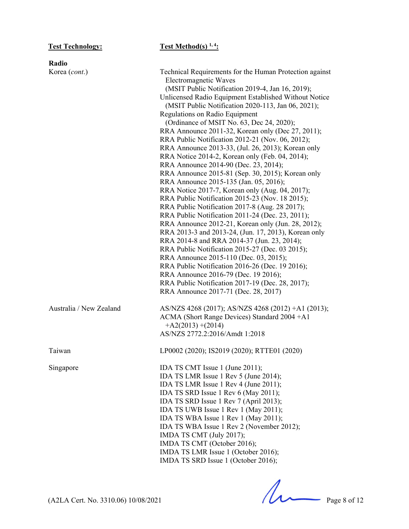| Radio                   |                                                                                                                                                                                                                                                                                                                                                                                                                                                                                                                                                                                                                                                                                                                                                                                                                                                                                                                                                                                                                                                                                                                                                                                                                                                                                                                          |
|-------------------------|--------------------------------------------------------------------------------------------------------------------------------------------------------------------------------------------------------------------------------------------------------------------------------------------------------------------------------------------------------------------------------------------------------------------------------------------------------------------------------------------------------------------------------------------------------------------------------------------------------------------------------------------------------------------------------------------------------------------------------------------------------------------------------------------------------------------------------------------------------------------------------------------------------------------------------------------------------------------------------------------------------------------------------------------------------------------------------------------------------------------------------------------------------------------------------------------------------------------------------------------------------------------------------------------------------------------------|
| Korea (cont.)           | Technical Requirements for the Human Protection against<br><b>Electromagnetic Waves</b><br>(MSIT Public Notification 2019-4, Jan 16, 2019);<br>Unlicensed Radio Equipment Established Without Notice<br>(MSIT Public Notification 2020-113, Jan 06, 2021);<br>Regulations on Radio Equipment<br>(Ordinance of MSIT No. 63, Dec 24, 2020);<br>RRA Announce 2011-32, Korean only (Dec 27, 2011);<br>RRA Public Notification 2012-21 (Nov. 06, 2012);<br>RRA Announce 2013-33, (Jul. 26, 2013); Korean only<br>RRA Notice 2014-2, Korean only (Feb. 04, 2014);<br>RRA Announce 2014-90 (Dec. 23, 2014);<br>RRA Announce 2015-81 (Sep. 30, 2015); Korean only<br>RRA Announce 2015-135 (Jan. 05, 2016);<br>RRA Notice 2017-7, Korean only (Aug. 04, 2017);<br>RRA Public Notification 2015-23 (Nov. 18 2015);<br>RRA Public Notification 2017-8 (Aug. 28 2017);<br>RRA Public Notification 2011-24 (Dec. 23, 2011);<br>RRA Announce 2012-21, Korean only (Jun. 28, 2012);<br>RRA 2013-3 and 2013-24, (Jun. 17, 2013), Korean only<br>RRA 2014-8 and RRA 2014-37 (Jun. 23, 2014);<br>RRA Public Notification 2015-27 (Dec. 03 2015);<br>RRA Announce 2015-110 (Dec. 03, 2015);<br>RRA Public Notification 2016-26 (Dec. 19 2016);<br>RRA Announce 2016-79 (Dec. 19 2016);<br>RRA Public Notification 2017-19 (Dec. 28, 2017); |
| Australia / New Zealand | RRA Announce 2017-71 (Dec. 28, 2017)<br>AS/NZS 4268 (2017); AS/NZS 4268 (2012) +A1 (2013);<br>ACMA (Short Range Devices) Standard 2004 + A1                                                                                                                                                                                                                                                                                                                                                                                                                                                                                                                                                                                                                                                                                                                                                                                                                                                                                                                                                                                                                                                                                                                                                                              |
|                         | $+A2(2013)+(2014)$<br>AS/NZS 2772.2:2016/Amdt 1:2018                                                                                                                                                                                                                                                                                                                                                                                                                                                                                                                                                                                                                                                                                                                                                                                                                                                                                                                                                                                                                                                                                                                                                                                                                                                                     |
| Taiwan                  | LP0002 (2020); IS2019 (2020); RTTE01 (2020)                                                                                                                                                                                                                                                                                                                                                                                                                                                                                                                                                                                                                                                                                                                                                                                                                                                                                                                                                                                                                                                                                                                                                                                                                                                                              |
| Singapore               | IDA TS CMT Issue 1 (June 2011);<br>IDA TS LMR Issue 1 Rev 5 (June 2014);<br>IDA TS LMR Issue 1 Rev 4 (June 2011);<br>IDA TS SRD Issue 1 Rev 6 (May 2011);<br>IDA TS SRD Issue 1 Rev 7 (April 2013);<br>IDA TS UWB Issue 1 Rev 1 (May 2011);<br>IDA TS WBA Issue 1 Rev 1 (May 2011);<br>IDA TS WBA Issue 1 Rev 2 (November 2012);<br>IMDA TS CMT (July 2017);<br>IMDA TS CMT (October 2016);<br>IMDA TS LMR Issue 1 (October 2016);<br>IMDA TS SRD Issue 1 (October 2016);                                                                                                                                                                                                                                                                                                                                                                                                                                                                                                                                                                                                                                                                                                                                                                                                                                                |

 $(A2LA$  Cert. No. 3310.06) 10/08/2021 Page 8 of 12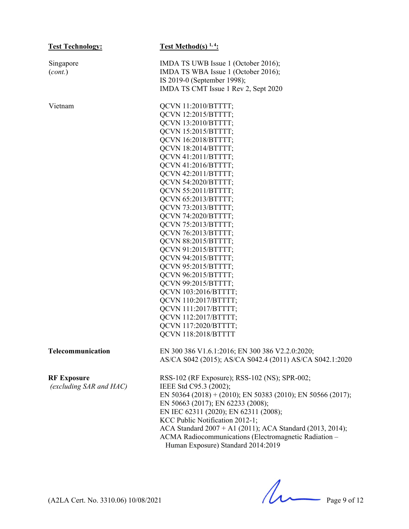| <b>Test Technology:</b> | Test Method(s) $1, 4$ :                                     |
|-------------------------|-------------------------------------------------------------|
| Singapore               | IMDA TS UWB Issue 1 (October 2016);                         |
| (cont.)                 | IMDA TS WBA Issue 1 (October 2016);                         |
|                         | IS 2019-0 (September 1998);                                 |
|                         | IMDA TS CMT Issue 1 Rev 2, Sept 2020                        |
| Vietnam                 | QCVN 11:2010/BTTTT;                                         |
|                         | QCVN 12:2015/BTTTT;                                         |
|                         | QCVN 13:2010/BTTTT;                                         |
|                         | QCVN 15:2015/BTTTT;                                         |
|                         | QCVN 16:2018/BTTTT;                                         |
|                         | QCVN 18:2014/BTTTT;                                         |
|                         | QCVN 41:2011/BTTTT;                                         |
|                         | QCVN 41:2016/BTTTT;                                         |
|                         | QCVN 42:2011/BTTTT;                                         |
|                         | QCVN 54:2020/BTTTT;                                         |
|                         | QCVN 55:2011/BTTTT;                                         |
|                         | QCVN 65:2013/BTTTT;                                         |
|                         | QCVN 73:2013/BTTTT;                                         |
|                         | QCVN 74:2020/BTTTT;                                         |
|                         | QCVN 75:2013/BTTTT;                                         |
|                         | QCVN 76:2013/BTTTT;                                         |
|                         | QCVN 88:2015/BTTTT;                                         |
|                         | QCVN 91:2015/BTTTT;                                         |
|                         | QCVN 94:2015/BTTTT;                                         |
|                         | QCVN 95:2015/BTTTT;                                         |
|                         | QCVN 96:2015/BTTTT;                                         |
|                         | QCVN 99:2015/BTTTT;                                         |
|                         | QCVN 103:2016/BTTTT;                                        |
|                         | QCVN 110:2017/BTTTT;                                        |
|                         | QCVN 111:2017/BTTTT;                                        |
|                         | QCVN 112:2017/BTTTT;                                        |
|                         | QCVN 117:2020/BTTTT;                                        |
|                         | QCVN 118:2018/BTTTT                                         |
| Telecommunication       | EN 300 386 V1.6.1:2016; EN 300 386 V2.2.0:2020;             |
|                         | AS/CA S042 (2015); AS/CA S042.4 (2011) AS/CA S042.1:2020    |
| <b>RF Exposure</b>      | RSS-102 (RF Exposure); RSS-102 (NS); SPR-002;               |
| (excluding SAR and HAC) | IEEE Std C95.3 (2002);                                      |
|                         | EN 50364 (2018) + (2010); EN 50383 (2010); EN 50566 (2017); |
|                         | EN 50663 (2017); EN 62233 (2008);                           |
|                         | EN IEC 62311 (2020); EN 62311 (2008);                       |
|                         | KCC Public Notification 2012-1;                             |
|                         | ACA Standard 2007 + A1 (2011); ACA Standard (2013, 2014);   |
|                         | ACMA Radiocommunications (Electromagnetic Radiation -       |
|                         | Human Exposure) Standard 2014:2019                          |
|                         |                                                             |

 $(A2LA$  Cert. No. 3310.06) 10/08/2021 Page 9 of 12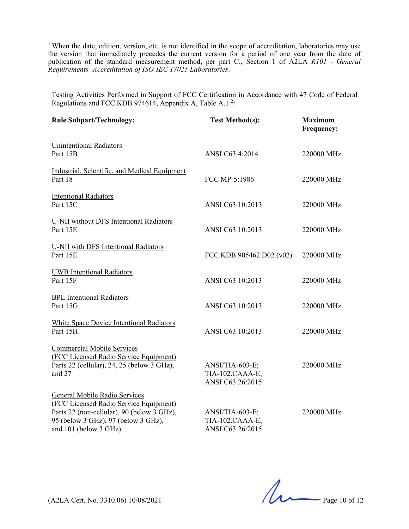<sup>1</sup> When the date, edition, version, etc. is not identified in the scope of accreditation, laboratories may use the version that immediately precedes the current version for a period of one year from the date of publication of the standard measurement method, per part C., Section 1 of A2LA *R101 - General Requirements- Accreditation of ISO-IEC 17025 Laboratories*.

Testing Activities Performed in Support of FCC Certification in Accordance with 47 Code of Federal Regulations and FCC KDB 974614, Appendix A, Table A.1<sup>2</sup>:

| <b>Rule Subpart/Technology:</b>                                                                                                                                                       | <b>Test Method(s):</b>                                 | <b>Maximum</b><br>Frequency: |
|---------------------------------------------------------------------------------------------------------------------------------------------------------------------------------------|--------------------------------------------------------|------------------------------|
| <b>Unintentional Radiators</b><br>Part 15B                                                                                                                                            | ANSI C63.4:2014                                        | 220000 MHz                   |
| Industrial, Scientific, and Medical Equipment<br>Part 18                                                                                                                              | FCC MP-5:1986                                          | 220000 MHz                   |
| <b>Intentional Radiators</b><br>Part 15C                                                                                                                                              | ANSI C63.10:2013                                       | 220000 MHz                   |
| U-NII without DFS Intentional Radiators<br>Part 15E                                                                                                                                   | ANSI C63.10:2013                                       | 220000 MHz                   |
| U-NII with DFS Intentional Radiators<br>Part 15E                                                                                                                                      | FCC KDB 905462 D02 (v02)                               | 220000 MHz                   |
| <b>UWB</b> Intentional Radiators<br>Part 15F                                                                                                                                          | ANSI C63.10:2013                                       | 220000 MHz                   |
| <b>BPL</b> Intentional Radiators<br>Part 15G                                                                                                                                          | ANSI C63.10:2013                                       | 220000 MHz                   |
| White Space Device Intentional Radiators<br>Part 15H                                                                                                                                  | ANSI C63.10:2013                                       | 220000 MHz                   |
| <b>Commercial Mobile Services</b><br>(FCC Licensed Radio Service Equipment)<br>Parts 22 (cellular), 24, 25 (below 3 GHz),<br>and 27                                                   | ANSI/TIA-603-E;<br>TIA-102.CAAA-E;<br>ANSI C63.26:2015 | 220000 MHz                   |
| General Mobile Radio Services<br>(FCC Licensed Radio Service Equipment)<br>Parts 22 (non-cellular), 90 (below 3 GHz),<br>95 (below 3 GHz), 97 (below 3 GHz),<br>and 101 (below 3 GHz) | ANSI/TIA-603-E;<br>TIA-102.CAAA-E;<br>ANSI C63.26:2015 | 220000 MHz                   |

 $(42LA$  Cert. No. 3310.06) 10/08/2021 Page 10 of 12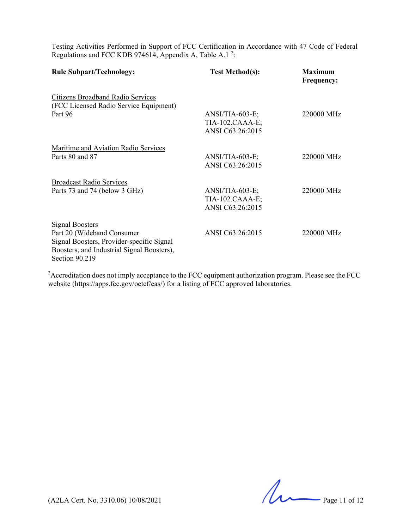Testing Activities Performed in Support of FCC Certification in Accordance with 47 Code of Federal Regulations and FCC KDB 974614, Appendix A, Table A.1<sup>2</sup>:

| <b>Rule Subpart/Technology:</b>                                                                                                                                   | <b>Test Method(s):</b>                                   | <b>Maximum</b><br><b>Frequency:</b> |
|-------------------------------------------------------------------------------------------------------------------------------------------------------------------|----------------------------------------------------------|-------------------------------------|
| Citizens Broadband Radio Services<br>(FCC Licensed Radio Service Equipment)                                                                                       |                                                          |                                     |
| Part 96                                                                                                                                                           | $ANSI/TIA-603-E;$<br>TIA-102.CAAA-E;<br>ANSI C63.26:2015 | 220000 MHz                          |
| Maritime and Aviation Radio Services                                                                                                                              |                                                          |                                     |
| Parts 80 and 87                                                                                                                                                   | $ANSI/TIA-603-E;$<br>ANSI C63.26:2015                    | 220000 MHz                          |
| <b>Broadcast Radio Services</b>                                                                                                                                   |                                                          |                                     |
| Parts 73 and 74 (below 3 GHz)                                                                                                                                     | $ANSI/TIA-603-E;$<br>TIA-102.CAAA-E;<br>ANSI C63.26:2015 | 220000 MHz                          |
| <b>Signal Boosters</b><br>Part 20 (Wideband Consumer<br>Signal Boosters, Provider-specific Signal<br>Boosters, and Industrial Signal Boosters),<br>Section 90.219 | ANSI C63.26:2015                                         | 220000 MHz                          |

<sup>2</sup> Accreditation does not imply acceptance to the FCC equipment authorization program. Please see the FCC website (https://apps.fcc.gov/oetcf/eas/) for a listing of FCC approved laboratories.

 $(A2LA$  Cert. No. 3310.06) 10/08/2021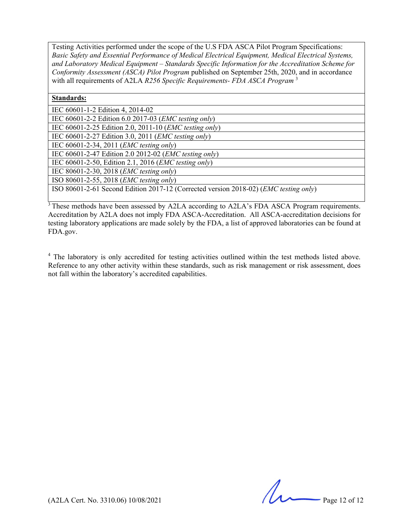Testing Activities performed under the scope of the U.S FDA ASCA Pilot Program Specifications: *Basic Safety and Essential Performance of Medical Electrical Equipment, Medical Electrical Systems, and Laboratory Medical Equipment – Standards Specific Information for the Accreditation Scheme for Conformity Assessment (ASCA) Pilot Program* published on September 25th, 2020, and in accordance with all requirements of A2LA *R256 Specific Requirements- FDA ASCA Program* <sup>3</sup>

#### **Standards:**

| IEC 60601-1-2 Edition 4, 2014-02                                                              |
|-----------------------------------------------------------------------------------------------|
| IEC 60601-2-2 Edition 6.0 2017-03 ( <i>EMC testing only</i> )                                 |
| IEC 60601-2-25 Edition 2.0, 2011-10 ( <i>EMC testing only</i> )                               |
| IEC 60601-2-27 Edition 3.0, 2011 ( <i>EMC testing only</i> )                                  |
| IEC $60601 - 2 - 34$ , 2011 ( <i>EMC testing only</i> )                                       |
| IEC 60601-2-47 Edition 2.0 2012-02 ( <i>EMC testing only</i> )                                |
| IEC 60601-2-50, Edition 2.1, 2016 ( <i>EMC testing only</i> )                                 |
| IEC 80601-2-30, 2018 ( <i>EMC testing only</i> )                                              |
| ISO 80601-2-55, 2018 ( <i>EMC testing only</i> )                                              |
| ISO 80601-2-61 Second Edition 2017-12 (Corrected version 2018-02) ( <i>EMC testing only</i> ) |

<sup>3</sup>These methods have been assessed by A2LA according to A2LA's FDA ASCA Program requirements. Accreditation by A2LA does not imply FDA ASCA-Accreditation. All ASCA-accreditation decisions for testing laboratory applications are made solely by the FDA, a list of approved laboratories can be found at FDA.gov.

<sup>4</sup> The laboratory is only accredited for testing activities outlined within the test methods listed above. Reference to any other activity within these standards, such as risk management or risk assessment, does not fall within the laboratory's accredited capabilities.